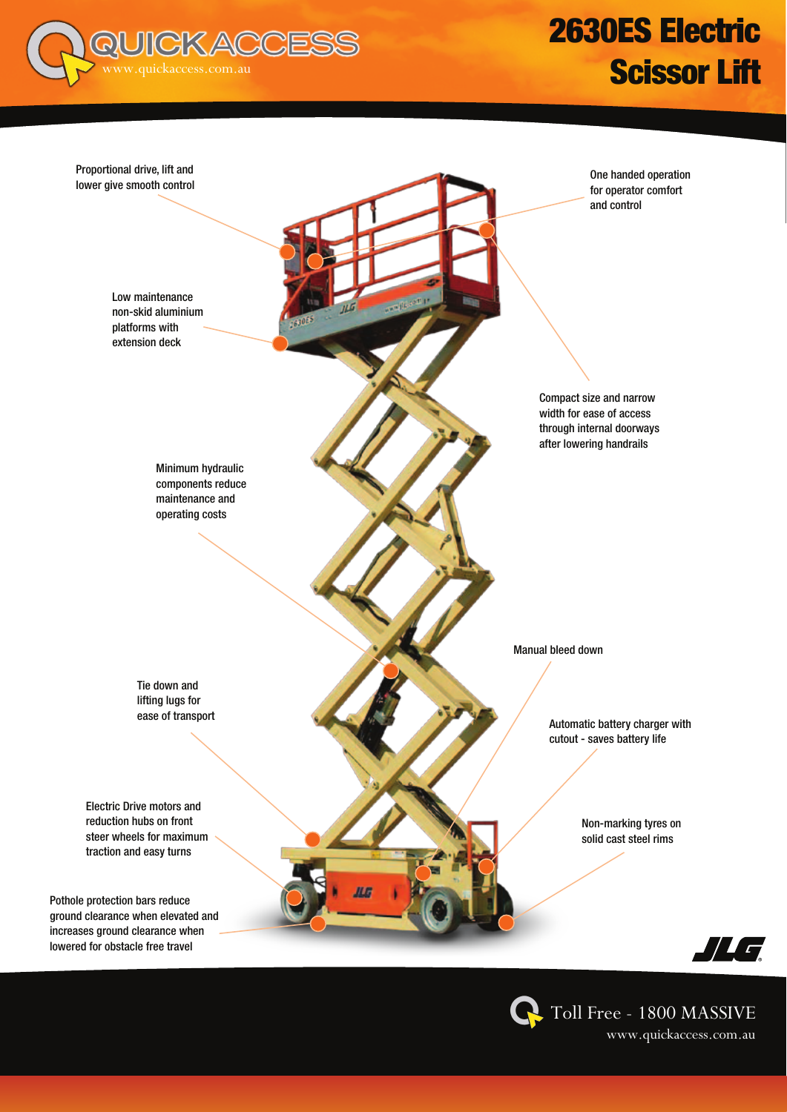

# 2630ES Electric **Scissor Lift**